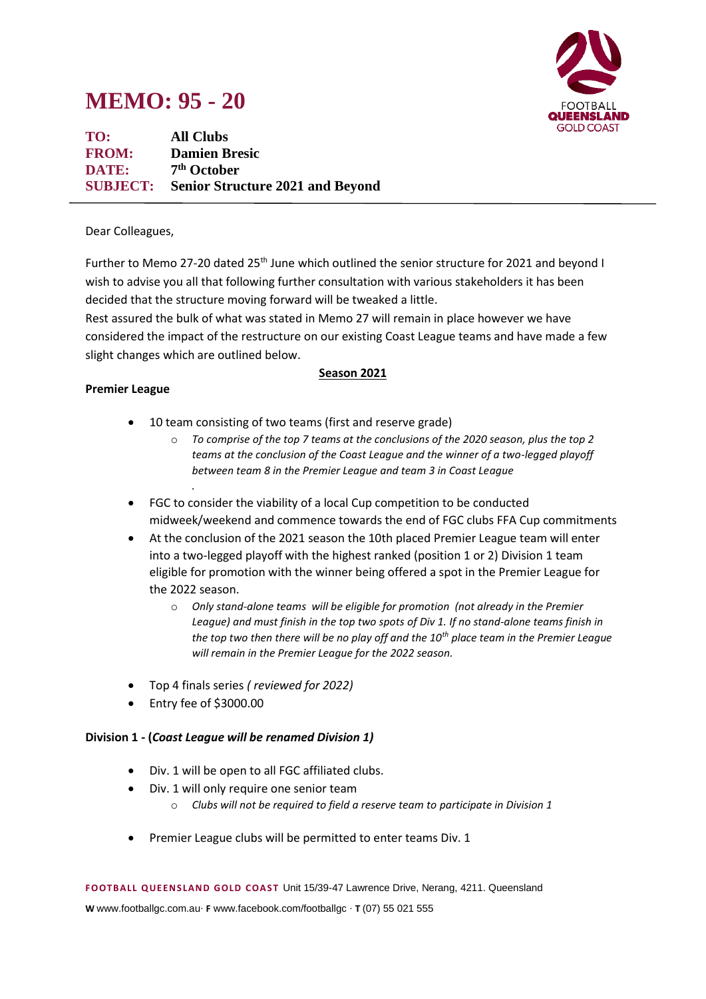# **MEMO: 95 - 20**



**TO: All Clubs FROM: Damien Bresic DATE: 7 th October SUBJECT: Senior Structure 2021 and Beyond**

#### Dear Colleagues,

Further to Memo 27-20 dated 25<sup>th</sup> June which outlined the senior structure for 2021 and beyond I wish to advise you all that following further consultation with various stakeholders it has been decided that the structure moving forward will be tweaked a little.

Rest assured the bulk of what was stated in Memo 27 will remain in place however we have considered the impact of the restructure on our existing Coast League teams and have made a few slight changes which are outlined below.

#### **Premier League**

# **Season 2021**

- 10 team consisting of two teams (first and reserve grade)
	- o *To comprise of the top 7 teams at the conclusions of the 2020 season, plus the top 2 teams at the conclusion of the Coast League and the winner of a two-legged playoff between team 8 in the Premier League and team 3 in Coast League*
- FGC to consider the viability of a local Cup competition to be conducted midweek/weekend and commence towards the end of FGC clubs FFA Cup commitments
- At the conclusion of the 2021 season the 10th placed Premier League team will enter into a two-legged playoff with the highest ranked (position 1 or 2) Division 1 team eligible for promotion with the winner being offered a spot in the Premier League for the 2022 season.
	- o *Only stand-alone teams will be eligible for promotion (not already in the Premier League) and must finish in the top two spots of Div 1. If no stand-alone teams finish in the top two then there will be no play off and the 10th place team in the Premier League will remain in the Premier League for the 2022 season.*
- Top 4 finals series *( reviewed for 2022)*
- Entry fee of \$3000.00

*.*

### **Division 1 - (***Coast League will be renamed Division 1)*

- Div. 1 will be open to all FGC affiliated clubs.
- Div. 1 will only require one senior team
	- o *Clubs will not be required to field a reserve team to participate in Division 1*
- Premier League clubs will be permitted to enter teams Div. 1

**F OOTB ALL Q UE EN S LAN D GOLD C OAS T** Unit 15/39-47 Lawrence Drive, Nerang, 4211. Queensland

**W** www.footballgc.com.au. **F** www.facebook.com/footballgc . **T** (07) 55 021 555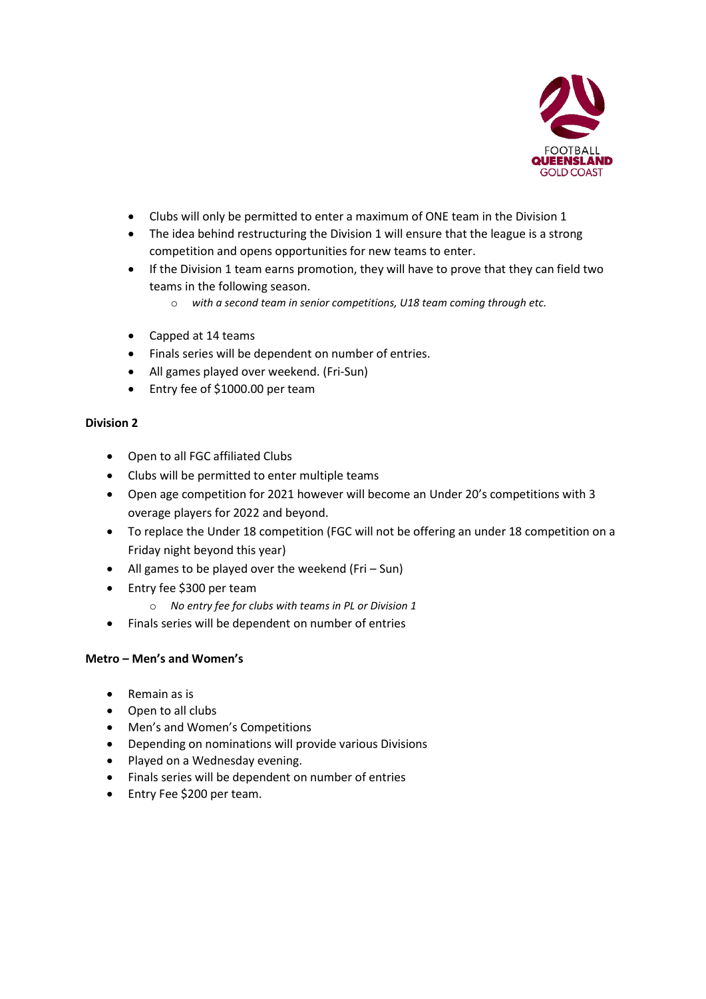

- Clubs will only be permitted to enter a maximum of ONE team in the Division 1
- The idea behind restructuring the Division 1 will ensure that the league is a strong competition and opens opportunities for new teams to enter.
- If the Division 1 team earns promotion, they will have to prove that they can field two teams in the following season.
	- o *with a second team in senior competitions, U18 team coming through etc.*
- Capped at 14 teams
- Finals series will be dependent on number of entries.
- All games played over weekend. (Fri-Sun)
- Entry fee of \$1000.00 per team

### **Division 2**

- Open to all FGC affiliated Clubs
- Clubs will be permitted to enter multiple teams
- Open age competition for 2021 however will become an Under 20's competitions with 3 overage players for 2022 and beyond.
- To replace the Under 18 competition (FGC will not be offering an under 18 competition on a Friday night beyond this year)
- All games to be played over the weekend (Fri Sun)
- Entry fee \$300 per team
	- o *No entry fee for clubs with teams in PL or Division 1*
- Finals series will be dependent on number of entries

### **Metro – Men's and Women's**

- Remain as is
- Open to all clubs
- Men's and Women's Competitions
- Depending on nominations will provide various Divisions
- Played on a Wednesday evening.
- Finals series will be dependent on number of entries
- Entry Fee \$200 per team.